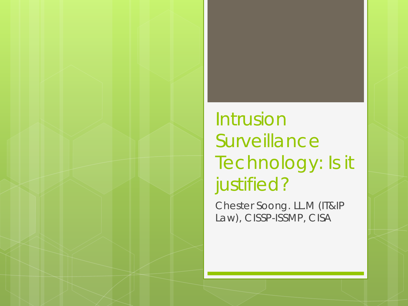### Intrusion **Surveillance** Technology: Is it justified?

Chester Soong. LL.M (IT&IP Law), CISSP-ISSMP, CISA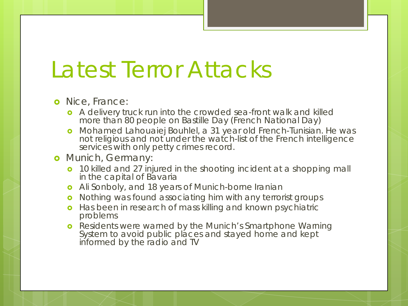# Latest Terror Attacks

#### **o** Nice, France:

- A delivery truck run into the crowded sea-front walk and killed more than 80 people on Bastille Day (French National Day)
- Mohamed Lahouaiej Bouhlel, a 31 year old French-Tunisian. He was not religious and not under the watch-list of the French intelligence services with only petty crimes record.
- **o** Munich, Germany:
	- **o** 10 killed and 27 injured in the shooting incident at a shopping mall in the capital of Bavaria
	- **o** Ali Sonboly, and 18 years of Munich-borne Iranian
	- **o** Nothing was found associating him with any terrorist groups
	- **o** Has been in research of mass killing and known psychiatric problems
	- **o** Residents were warned by the Munich's Smartphone Warning System to avoid public places and stayed home and kept informed by the radio and TV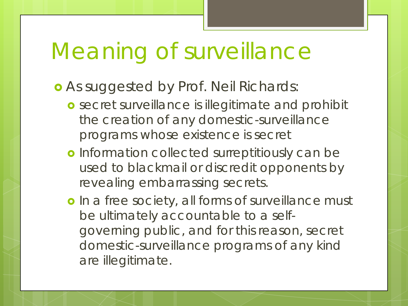# Meaning of surveillance

- As suggested by Prof. Neil Richards:
	- *secret surveillance is illegitimate* and prohibit the creation of any domestic-surveillance programs whose existence is secret
	- **o** Information collected surreptitiously can be used to blackmail or discredit opponents by revealing embarrassing secrets.
	- o In a free society, all forms of surveillance must be ultimately accountable to a selfgoverning public, and for this reason, secret domestic-surveillance programs of any kind are illegitimate.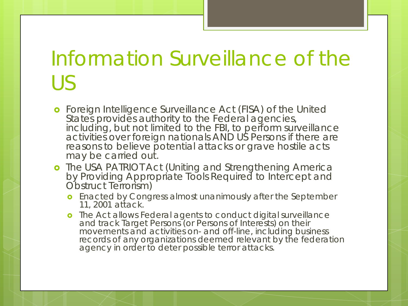# Information Surveillance of the US

- **o** Foreign Intelligence Surveillance Act (FISA) of the United States provides authority to the Federal agencies, including, but not limited to the FBI, to perform surveillance activities over foreign nationals AND US Persons if there are reasons to believe potential attacks or grave hostile acts may be carried out.
- **o** The USA PATRIOT Act (Uniting and Strengthening America by Providing Appropriate Tools Required to Intercept and Obstruct Terrorism)
	- **o** Enacted by Congress almost unanimously after the September 11, 2001 attack.
	- **o** The Act allows Federal agents to conduct digital surveillance and track Target Persons (or Persons of Interests) on their movements and activities on- and off-line, including business records of any organizations deemed relevant by the federation agency in order to deter possible terror attacks.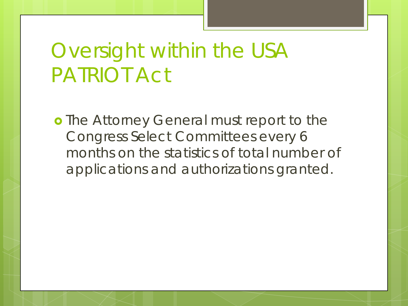## Oversight within the USA PATRIOT Act

**o** The Attorney General must report to the Congress Select Committees every 6 months on the statistics of total number of applications and authorizations granted.